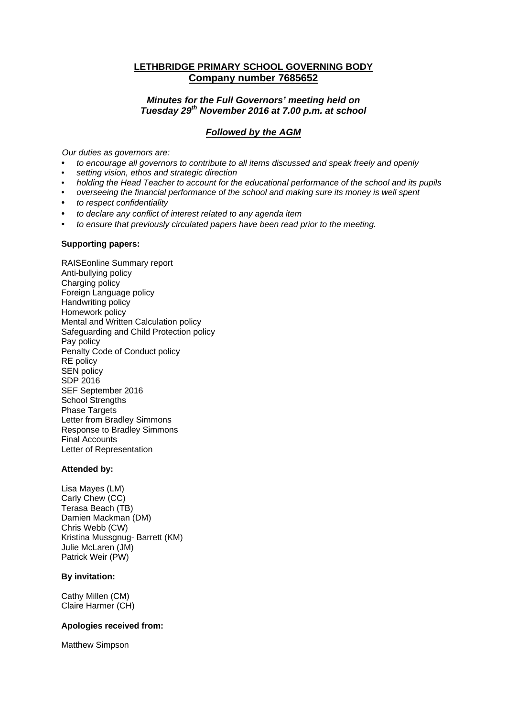# **LETHBRIDGE PRIMARY SCHOOL GOVERNING BODY Company number 7685652**

# *Minutes for the Full Governors' meeting held on Tuesday 29th November 2016 at 7.00 p.m. at school*

# *Followed by the AGM*

*Our duties as governors are:* 

- *to encourage all governors to contribute to all items discussed and speak freely and openly*
- *setting vision, ethos and strategic direction*
- *holding the Head Teacher to account for the educational performance of the school and its pupils*
- *overseeing the financial performance of the school and making sure its money is well spent*
- *to respect confidentiality*
- *to declare any conflict of interest related to any agenda item*
- *to ensure that previously circulated papers have been read prior to the meeting.*

#### **Supporting papers:**

RAISEonline Summary report Anti-bullying policy Charging policy Foreign Language policy Handwriting policy Homework policy Mental and Written Calculation policy Safeguarding and Child Protection policy Pay policy Penalty Code of Conduct policy RE policy SEN policy SDP 2016 SEF September 2016 School Strengths Phase Targets Letter from Bradley Simmons Response to Bradley Simmons Final Accounts Letter of Representation

### **Attended by:**

Lisa Mayes (LM) Carly Chew (CC) Terasa Beach (TB) Damien Mackman (DM) Chris Webb (CW) Kristina Mussgnug- Barrett (KM) Julie McLaren (JM) Patrick Weir (PW)

### **By invitation:**

Cathy Millen (CM) Claire Harmer (CH)

### **Apologies received from:**

Matthew Simpson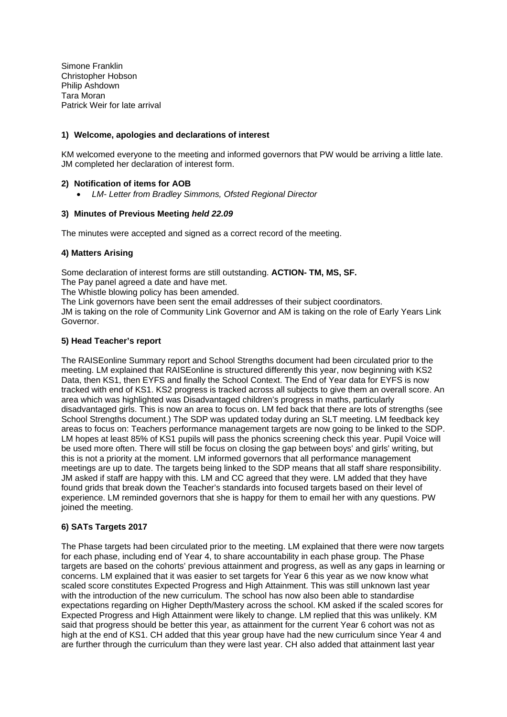Simone Franklin Christopher Hobson Philip Ashdown Tara Moran Patrick Weir for late arrival

### **1) Welcome, apologies and declarations of interest**

KM welcomed everyone to the meeting and informed governors that PW would be arriving a little late. JM completed her declaration of interest form.

### **2) Notification of items for AOB**

*LM- Letter from Bradley Simmons, Ofsted Regional Director* 

### **3) Minutes of Previous Meeting** *held 22.09*

The minutes were accepted and signed as a correct record of the meeting.

### **4) Matters Arising**

Some declaration of interest forms are still outstanding. **ACTION- TM, MS, SF.** 

The Pay panel agreed a date and have met.

The Whistle blowing policy has been amended.

The Link governors have been sent the email addresses of their subject coordinators.

JM is taking on the role of Community Link Governor and AM is taking on the role of Early Years Link Governor.

### **5) Head Teacher's report**

The RAISEonline Summary report and School Strengths document had been circulated prior to the meeting. LM explained that RAISEonline is structured differently this year, now beginning with KS2 Data, then KS1, then EYFS and finally the School Context. The End of Year data for EYFS is now tracked with end of KS1. KS2 progress is tracked across all subjects to give them an overall score. An area which was highlighted was Disadvantaged children's progress in maths, particularly disadvantaged girls. This is now an area to focus on. LM fed back that there are lots of strengths (see School Strengths document.) The SDP was updated today during an SLT meeting. LM feedback key areas to focus on: Teachers performance management targets are now going to be linked to the SDP. LM hopes at least 85% of KS1 pupils will pass the phonics screening check this year. Pupil Voice will be used more often. There will still be focus on closing the gap between boys' and girls' writing, but this is not a priority at the moment. LM informed governors that all performance management meetings are up to date. The targets being linked to the SDP means that all staff share responsibility. JM asked if staff are happy with this. LM and CC agreed that they were. LM added that they have found grids that break down the Teacher's standards into focused targets based on their level of experience. LM reminded governors that she is happy for them to email her with any questions. PW joined the meeting.

# **6) SATs Targets 2017**

The Phase targets had been circulated prior to the meeting. LM explained that there were now targets for each phase, including end of Year 4, to share accountability in each phase group. The Phase targets are based on the cohorts' previous attainment and progress, as well as any gaps in learning or concerns. LM explained that it was easier to set targets for Year 6 this year as we now know what scaled score constitutes Expected Progress and High Attainment. This was still unknown last year with the introduction of the new curriculum. The school has now also been able to standardise expectations regarding on Higher Depth/Mastery across the school. KM asked if the scaled scores for Expected Progress and High Attainment were likely to change. LM replied that this was unlikely. KM said that progress should be better this year, as attainment for the current Year 6 cohort was not as high at the end of KS1. CH added that this year group have had the new curriculum since Year 4 and are further through the curriculum than they were last year. CH also added that attainment last year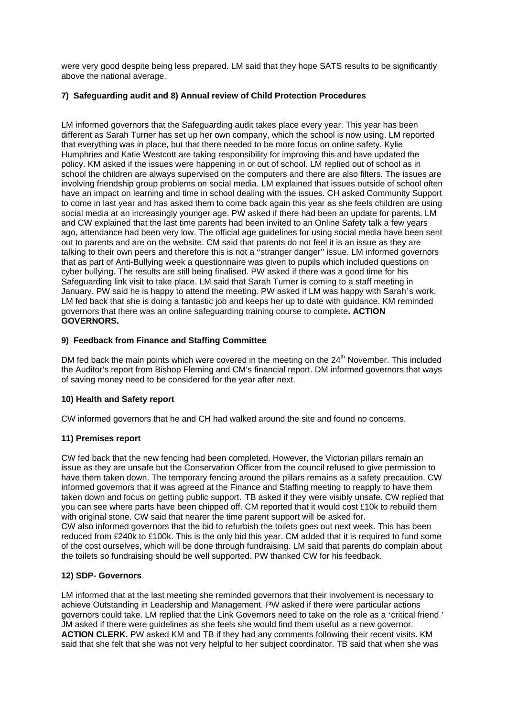were very good despite being less prepared. LM said that they hope SATS results to be significantly above the national average.

# **7) Safeguarding audit and 8) Annual review of Child Protection Procedures**

LM informed governors that the Safeguarding audit takes place every year. This year has been different as Sarah Turner has set up her own company, which the school is now using. LM reported that everything was in place, but that there needed to be more focus on online safety. Kylie Humphries and Katie Westcott are taking responsibility for improving this and have updated the policy. KM asked if the issues were happening in or out of school. LM replied out of school as in school the children are always supervised on the computers and there are also filters. The issues are involving friendship group problems on social media. LM explained that issues outside of school often have an impact on learning and time in school dealing with the issues. CH asked Community Support to come in last year and has asked them to come back again this year as she feels children are using social media at an increasingly younger age. PW asked if there had been an update for parents. LM and CW explained that the last time parents had been invited to an Online Safety talk a few years ago, attendance had been very low. The official age guidelines for using social media have been sent out to parents and are on the website. CM said that parents do not feel it is an issue as they are talking to their own peers and therefore this is not a "stranger danger" issue. LM informed governors that as part of Anti-Bullying week a questionnaire was given to pupils which included questions on cyber bullying. The results are still being finalised. PW asked if there was a good time for his Safeguarding link visit to take place. LM said that Sarah Turner is coming to a staff meeting in January. PW said he is happy to attend the meeting. PW asked if LM was happy with Sarah's work. LM fed back that she is doing a fantastic job and keeps her up to date with guidance. KM reminded governors that there was an online safeguarding training course to complete**. ACTION GOVERNORS.**

# **9) Feedback from Finance and Staffing Committee**

DM fed back the main points which were covered in the meeting on the  $24<sup>th</sup>$  November. This included the Auditor's report from Bishop Fleming and CM's financial report. DM informed governors that ways of saving money need to be considered for the year after next.

# **10) Health and Safety report**

CW informed governors that he and CH had walked around the site and found no concerns.

# **11) Premises report**

CW fed back that the new fencing had been completed. However, the Victorian pillars remain an issue as they are unsafe but the Conservation Officer from the council refused to give permission to have them taken down. The temporary fencing around the pillars remains as a safety precaution. CW informed governors that it was agreed at the Finance and Staffing meeting to reapply to have them taken down and focus on getting public support. TB asked if they were visibly unsafe. CW replied that you can see where parts have been chipped off. CM reported that it would cost £10k to rebuild them with original stone. CW said that nearer the time parent support will be asked for. CW also informed governors that the bid to refurbish the toilets goes out next week. This has been reduced from £240k to £100k. This is the only bid this year. CM added that it is required to fund some of the cost ourselves, which will be done through fundraising. LM said that parents do complain about the toilets so fundraising should be well supported. PW thanked CW for his feedback.

# **12) SDP- Governors**

LM informed that at the last meeting she reminded governors that their involvement is necessary to achieve Outstanding in Leadership and Management. PW asked if there were particular actions governors could take. LM replied that the Link Governors need to take on the role as a 'critical friend.' JM asked if there were guidelines as she feels she would find them useful as a new governor. **ACTION CLERK.** PW asked KM and TB if they had any comments following their recent visits. KM said that she felt that she was not very helpful to her subject coordinator. TB said that when she was